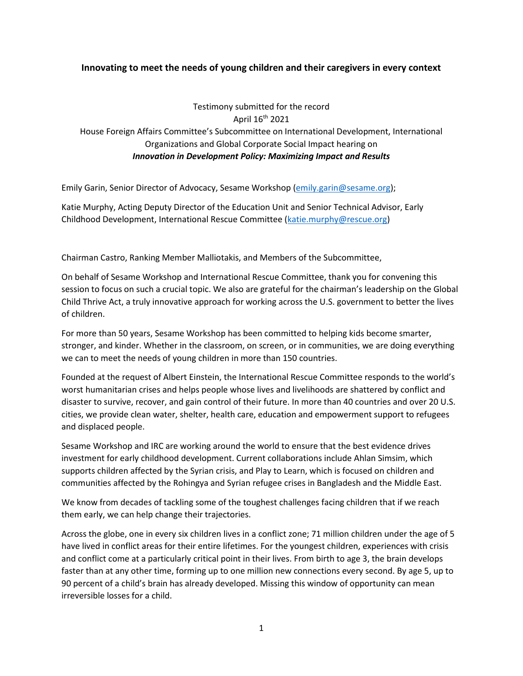## **Innovating to meet the needs of young children and their caregivers in every context**

## Testimony submitted for the record April 16th 2021 House Foreign Affairs Committee's Subcommittee on International Development, International Organizations and Global Corporate Social Impact hearing on *Innovation in Development Policy: Maximizing Impact and Results*

Emily Garin, Senior Director of Advocacy, Sesame Workshop [\(emily.garin@sesame.org\)](mailto:emily.garin@sesame.org);

Katie Murphy, Acting Deputy Director of the Education Unit and Senior Technical Advisor, Early Childhood Development, International Rescue Committee [\(katie.murphy@rescue.org\)](mailto:katie.murphy@rescue.org)

Chairman Castro, Ranking Member Malliotakis, and Members of the Subcommittee,

On behalf of Sesame Workshop and International Rescue Committee, thank you for convening this session to focus on such a crucial topic. We also are grateful for the chairman's leadership on the Global Child Thrive Act, a truly innovative approach for working across the U.S. government to better the lives of children.

For more than 50 years, Sesame Workshop has been committed to helping kids become smarter, stronger, and kinder. Whether in the classroom, on screen, or in communities, we are doing everything we can to meet the needs of young children in more than 150 countries.

Founded at the request of Albert Einstein, the International Rescue Committee responds to the world's worst humanitarian crises and helps people whose lives and livelihoods are shattered by conflict and disaster to survive, recover, and gain control of their future. In more than 40 countries and over 20 U.S. cities, we provide clean water, shelter, health care, education and empowerment support to refugees and displaced people.

Sesame Workshop and IRC are working around the world to ensure that the best evidence drives investment for early childhood development. Current collaborations include Ahlan Simsim, which supports children affected by the Syrian crisis, and Play to Learn, which is focused on children and communities affected by the Rohingya and Syrian refugee crises in Bangladesh and the Middle East.

We know from decades of tackling some of the toughest challenges facing children that if we reach them early, we can help change their trajectories.

Across the globe, one in every six children lives in a conflict zone; 71 million children under the age of 5 have lived in conflict areas for their entire lifetimes. For the youngest children, experiences with crisis and conflict come at a particularly critical point in their lives. From birth to age 3, the brain develops faster than at any other time, forming up to one million new connections every second. By age 5, up to 90 percent of a child's brain has already developed. Missing this window of opportunity can mean irreversible losses for a child.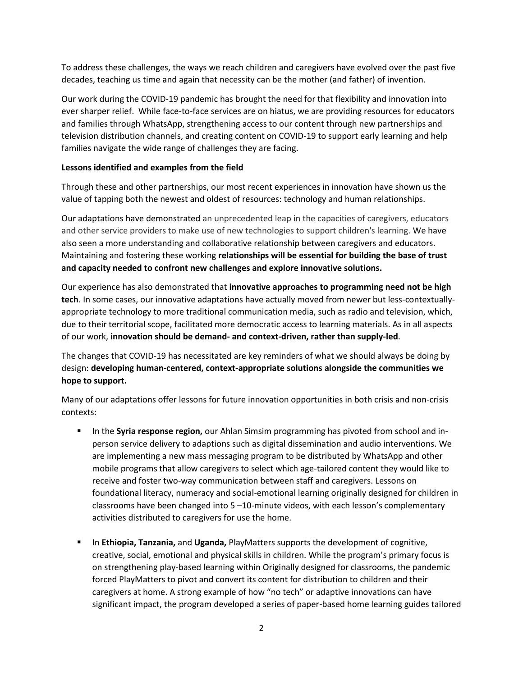To address these challenges, the ways we reach children and caregivers have evolved over the past five decades, teaching us time and again that necessity can be the mother (and father) of invention.

Our work during the COVID-19 pandemic has brought the need for that flexibility and innovation into ever sharper relief. While face-to-face services are on hiatus, we are providing resources for educators and families through WhatsApp, strengthening access to our content through new partnerships and television distribution channels, and creating content on COVID-19 to support early learning and help families navigate the wide range of challenges they are facing.

## **Lessons identified and examples from the field**

Through these and other partnerships, our most recent experiences in innovation have shown us the value of tapping both the newest and oldest of resources: technology and human relationships.

Our adaptations have demonstrated an unprecedented leap in the capacities of caregivers, educators and other service providers to make use of new technologies to support children's learning. We have also seen a more understanding and collaborative relationship between caregivers and educators. Maintaining and fostering these working **relationships will be essential for building the base of trust and capacity needed to confront new challenges and explore innovative solutions.**

Our experience has also demonstrated that **innovative approaches to programming need not be high tech**. In some cases, our innovative adaptations have actually moved from newer but less-contextuallyappropriate technology to more traditional communication media, such as radio and television, which, due to their territorial scope, facilitated more democratic access to learning materials. As in all aspects of our work, **innovation should be demand- and context-driven, rather than supply-led**.

The changes that COVID-19 has necessitated are key reminders of what we should always be doing by design: **developing human-centered, context-appropriate solutions alongside the communities we hope to support.**

Many of our adaptations offer lessons for future innovation opportunities in both crisis and non-crisis contexts:

- **■** In the **Syria response region,** our Ahlan Simsim programming has pivoted from school and inperson service delivery to adaptions such as digital dissemination and audio interventions. We are implementing a new mass messaging program to be distributed by WhatsApp and other mobile programs that allow caregivers to select which age-tailored content they would like to receive and foster two-way communication between staff and caregivers. Lessons on foundational literacy, numeracy and social-emotional learning originally designed for children in classrooms have been changed into 5 –10-minute videos, with each lesson's complementary activities distributed to caregivers for use the home.
- **EXECT** In **Ethiopia, Tanzania,** and **Uganda,** PlayMatters supports the development of cognitive, creative, social, emotional and physical skills in children. While the program's primary focus is on strengthening play-based learning within Originally designed for classrooms, the pandemic forced PlayMatters to pivot and convert its content for distribution to children and their caregivers at home. A strong example of how "no tech" or adaptive innovations can have significant impact, the program developed a series of paper-based home learning guides tailored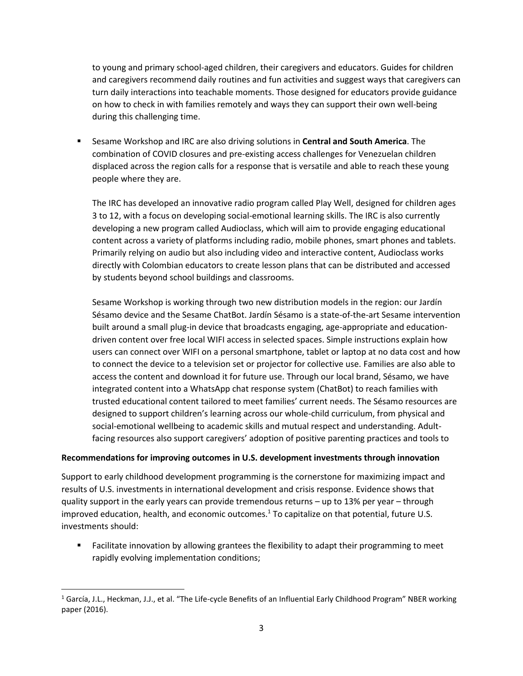to young and primary school-aged children, their caregivers and educators. Guides for children and caregivers recommend daily routines and fun activities and suggest ways that caregivers can turn daily interactions into teachable moments. Those designed for educators provide guidance on how to check in with families remotely and ways they can support their own well-being during this challenging time.

**EXECT** Sesame Workshop and IRC are also driving solutions in **Central and South America**. The combination of COVID closures and pre-existing access challenges for Venezuelan children displaced across the region calls for a response that is versatile and able to reach these young people where they are.

The IRC has developed an innovative radio program called Play Well, designed for children ages 3 to 12, with a focus on developing social-emotional learning skills. The IRC is also currently developing a new program called Audioclass, which will aim to provide engaging educational content across a variety of platforms including radio, mobile phones, smart phones and tablets. Primarily relying on audio but also including video and interactive content, Audioclass works directly with Colombian educators to create lesson plans that can be distributed and accessed by students beyond school buildings and classrooms.

Sesame Workshop is working through two new distribution models in the region: our Jardín Sésamo device and the Sesame ChatBot. Jardín Sésamo is a state-of-the-art Sesame intervention built around a small plug-in device that broadcasts engaging, age-appropriate and educationdriven content over free local WIFI access in selected spaces. Simple instructions explain how users can connect over WIFI on a personal smartphone, tablet or laptop at no data cost and how to connect the device to a television set or projector for collective use. Families are also able to access the content and download it for future use. Through our local brand, Sésamo, we have integrated content into a WhatsApp chat response system (ChatBot) to reach families with trusted educational content tailored to meet families' current needs. The Sésamo resources are designed to support children's learning across our whole-child curriculum, from physical and social-emotional wellbeing to academic skills and mutual respect and understanding. Adultfacing resources also support caregivers' adoption of positive parenting practices and tools to

## **Recommendations for improving outcomes in U.S. development investments through innovation**

Support to early childhood development programming is the cornerstone for maximizing impact and results of U.S. investments in international development and crisis response. Evidence shows that quality support in the early years can provide tremendous returns – up to 13% per year – through improved education, health, and economic outcomes.<sup>1</sup> To capitalize on that potential, future U.S. investments should:

■ Facilitate innovation by allowing grantees the flexibility to adapt their programming to meet rapidly evolving implementation conditions;

<sup>&</sup>lt;sup>1</sup> García, J.L., Heckman, J.J., et al. "The Life-cycle Benefits of an Influential Early Childhood Program" NBER working paper (2016).